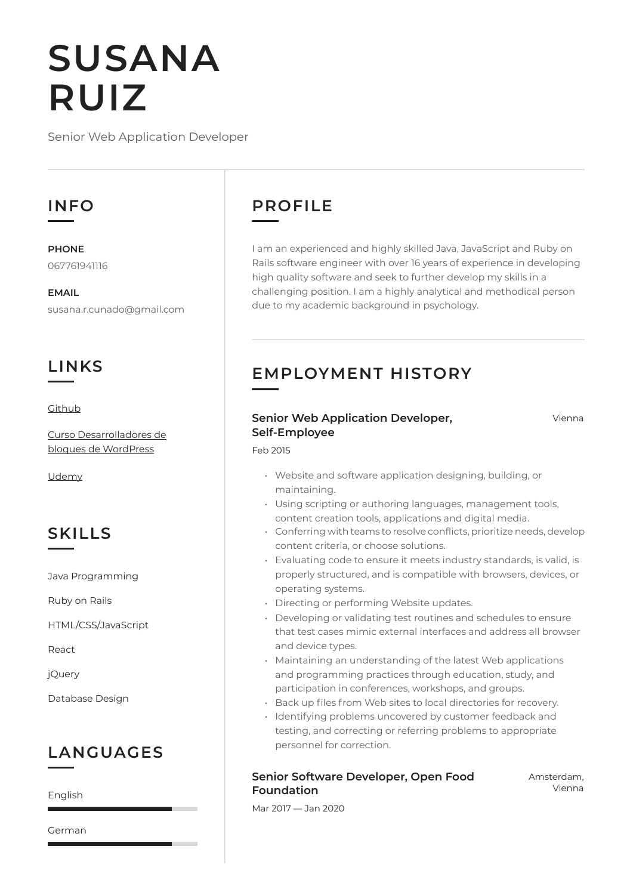# **SUSANA RUIZ**

Senior Web Application Developer

## **INFO**

**PHONE** 067761941116

**EMAIL** susana.r.cunado@gmail.com

## **LINKS**

**[Github](https://github.com/Duende13)** 

[Curso Desarrolladores de](https://www.cursogutenberg.com/curso-desarrolladores-de-bloques-de-wordpress/)  [bloques de WordPress](https://www.cursogutenberg.com/curso-desarrolladores-de-bloques-de-wordpress/)

[Udemy](https://www.udemy.com/course/aprende-a-desarrollar-bloques-para-wordpress/learn/lecture/16359080#overview)

# **SKILLS**

Java Programming

Ruby on Rails

HTML/CSS/JavaScript

React

jQuery

Database Design

# **LANGUAGES**

English

German

# **PROFILE**

Feb 2015

I am an experienced and highly skilled Java, JavaScript and Ruby on Rails software engineer with over 16 years of experience in developing high quality software and seek to further develop my skills in a challenging position. I am a highly analytical and methodical person due to my academic background in psychology.

# **EMPLOYMENT HISTORY**

## **Senior Web Application Developer, Self-Employee**

Vienna

- Website and software application designing, building, or maintaining.
- Using scripting or authoring languages, management tools, content creation tools, applications and digital media.
- $\cdot$  Conferring with teams to resolve conflicts, prioritize needs, develop content criteria, or choose solutions.
- Evaluating code to ensure it meets industry standards, is valid, is properly structured, and is compatible with browsers, devices, or operating systems.
- Directing or performing Website updates.
- Developing or validating test routines and schedules to ensure that test cases mimic external interfaces and address all browser and device types.
- Maintaining an understanding of the latest Web applications and programming practices through education, study, and participation in conferences, workshops, and groups.
- Back up files from Web sites to local directories for recovery.
- Identifying problems uncovered by customer feedback and testing, and correcting or referring problems to appropriate personnel for correction.

## **Senior Software Developer, Open Food Foundation**

Amsterdam, Vienna

Mar 2017 - Jan 2020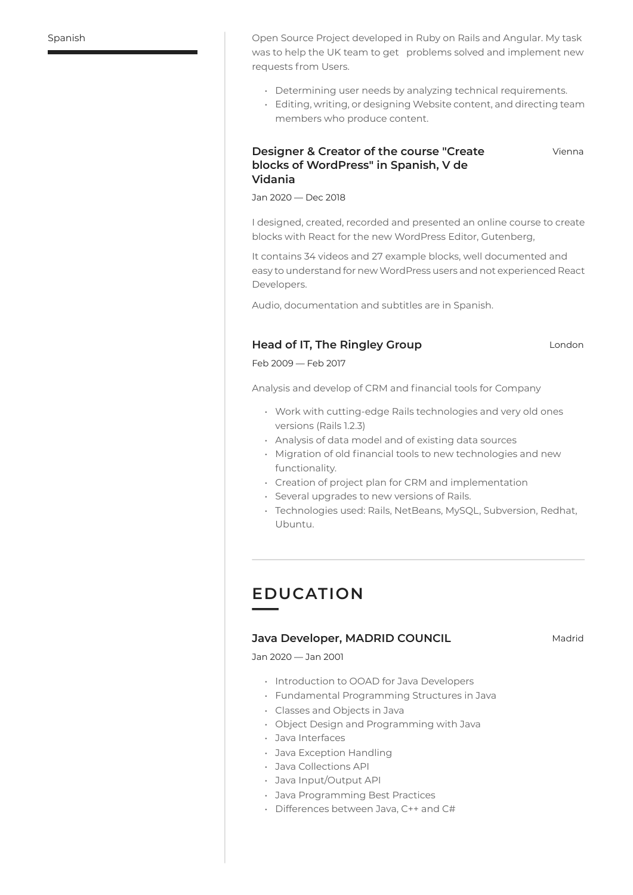Spanish 8pen Source Project developed in Ruby on Rails and Angular. My task was to help the UK team to get problems solved and implement new requests from Users.

- Determining user needs by analyzing technical requirements.
- Editing, writing, or designing Website content, and directing team members who produce content.

#### **Designer & Creator of the course "Create blocks of WordPress" in Spanish, V de Vidania**

Vienna

 $Jan 2020 - Dec 2018$ 

I designed, created, recorded and presented an online course to create blocks with React for the new WordPress Editor, Gutenberg,

It contains 34 videos and 27 example blocks, well documented and easy to understand for new WordPress users and not experienced React Developers.

Audio, documentation and subtitles are in Spanish.

## **Head of IT, The Ringley Group London**

Feb 2009 - Feb 2017

Analysis and develop of CRM and financial tools for Company

- Work with cutting-edge Rails technologies and very old ones versions (Rails 1.2.3)
- Analysis of data model and of existing data sources
- Migration of old financial tools to new technologies and new functionality.
- Creation of project plan for CRM and implementation
- Several upgrades to new versions of Rails.
- Technologies used: Rails, NetBeans, MySQL, Subversion, Redhat, Ubuntu.

## **EDUCATION**

#### **Java Developer, MADRID COUNCIL** Madrid

Jan 2020 - Jan 2001

- Introduction to OOAD for Java Developers
- Fundamental Programming Structures in Java
- Classes and Obiects in Java
- Object Design and Programming with Java
- Java Interfaces
- Java Exception Handling
- Java Collections API
- Java Input/Output API
- Java Programming Best Practices
- $\cdot$  Differences between Java, C++ and C#